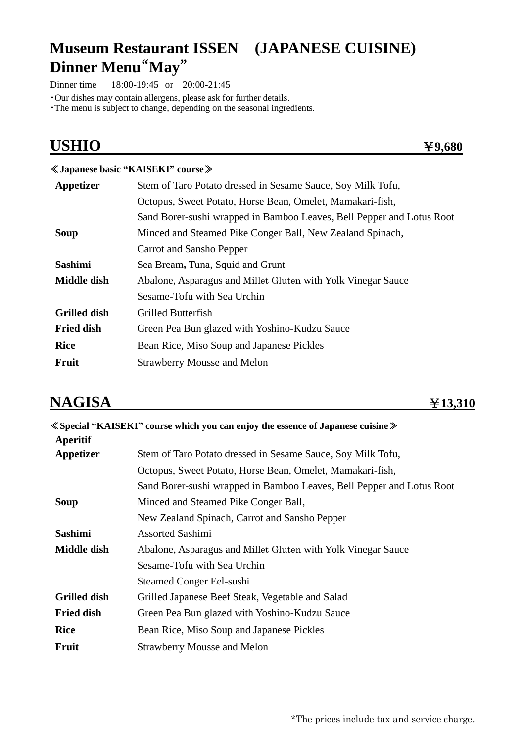# **Museum Restaurant ISSEN (JAPANESE CUISINE) Dinner Menu**"**May**"

Dinner time 18:00-19:45 or 20:00-21:45

・Our dishes may contain allergens, please ask for further details.

・The menu is subject to change, depending on the seasonal ingredients.

| <b>USHIO</b>        | 49,680                                                                |
|---------------------|-----------------------------------------------------------------------|
|                     | ≪Japanese basic "KAISEKI" course »                                    |
| Appetizer           | Stem of Taro Potato dressed in Sesame Sauce, Soy Milk Tofu,           |
|                     | Octopus, Sweet Potato, Horse Bean, Omelet, Mamakari-fish,             |
|                     | Sand Borer-sushi wrapped in Bamboo Leaves, Bell Pepper and Lotus Root |
| <b>Soup</b>         | Minced and Steamed Pike Conger Ball, New Zealand Spinach,             |
|                     | Carrot and Sansho Pepper                                              |
| <b>Sashimi</b>      | Sea Bream, Tuna, Squid and Grunt                                      |
| <b>Middle dish</b>  | Abalone, Asparagus and Millet Gluten with Yolk Vinegar Sauce          |
|                     | Sesame-Tofu with Sea Urchin                                           |
| <b>Grilled dish</b> | Grilled Butterfish                                                    |
| <b>Fried dish</b>   | Green Pea Bun glazed with Yoshino-Kudzu Sauce                         |
| <b>Rice</b>         | Bean Rice, Miso Soup and Japanese Pickles                             |
| Fruit               | <b>Strawberry Mousse and Melon</b>                                    |

## **NAGISA** ¥**13,310**

|                     | ≪Special "KAISEKI" course which you can enjoy the essence of Japanese cuisine ≫ |
|---------------------|---------------------------------------------------------------------------------|
| <b>Aperitif</b>     |                                                                                 |
| Appetizer           | Stem of Taro Potato dressed in Sesame Sauce, Soy Milk Tofu,                     |
|                     | Octopus, Sweet Potato, Horse Bean, Omelet, Mamakari-fish,                       |
|                     | Sand Borer-sushi wrapped in Bamboo Leaves, Bell Pepper and Lotus Root           |
| Soup                | Minced and Steamed Pike Conger Ball,                                            |
|                     | New Zealand Spinach, Carrot and Sansho Pepper                                   |
| <b>Sashimi</b>      | <b>Assorted Sashimi</b>                                                         |
| <b>Middle dish</b>  | Abalone, Asparagus and Millet Gluten with Yolk Vinegar Sauce                    |
|                     | Sesame-Tofu with Sea Urchin                                                     |
|                     | Steamed Conger Eel-sushi                                                        |
| <b>Grilled dish</b> | Grilled Japanese Beef Steak, Vegetable and Salad                                |
| <b>Fried dish</b>   | Green Pea Bun glazed with Yoshino-Kudzu Sauce                                   |
| <b>Rice</b>         | Bean Rice, Miso Soup and Japanese Pickles                                       |
| <b>Fruit</b>        | <b>Strawberry Mousse and Melon</b>                                              |
|                     |                                                                                 |